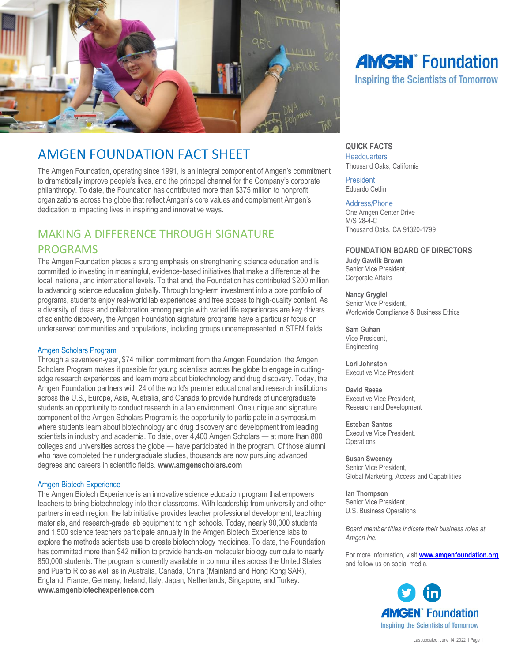

# AMGEN FOUNDATION FACT SHEET

The Amgen Foundation, operating since 1991, is an integral component of Amgen's commitment to dramatically improve people's lives, and the principal channel for the Company's corporate philanthropy. To date, the Foundation has contributed more than \$375 million to nonprofit organizations across the globe that reflect Amgen's core values and complement Amgen's dedication to impacting lives in inspiring and innovative ways.

## MAKING A DIFFERENCE THROUGH SIGNATURE PROGRAMS

The Amgen Foundation places a strong emphasis on strengthening science education and is committed to investing in meaningful, evidence-based initiatives that make a difference at the local, national, and international levels. To that end, the Foundation has contributed \$200 million to advancing science education globally. Through long-term investment into a core portfolio of programs, students enjoy real-world lab experiences and free access to high-quality content. As a diversity of ideas and collaboration among people with varied life experiences are key drivers of scientific discovery, the Amgen Foundation signature programs have a particular focus on underserved communities and populations, including groups underrepresented in STEM fields.

## Amgen Scholars Program

Through a seventeen-year, \$74 million commitment from the Amgen Foundation, the Amgen Scholars Program makes it possible for young scientists across the globe to engage in cuttingedge research experiences and learn more about biotechnology and drug discovery. Today, the Amgen Foundation partners with 24 of the world's premier educational and research institutions across the U.S., Europe, Asia, Australia, and Canada to provide hundreds of undergraduate students an opportunity to conduct research in a lab environment. One unique and signature component of the Amgen Scholars Program is the opportunity to participate in a symposium where students learn about biotechnology and drug discovery and development from leading scientists in industry and academia. To date, over 4,400 Amgen Scholars — at more than 800 colleges and universities across the globe — have participated in the program. Of those alumni who have completed their undergraduate studies, thousands are now pursuing advanced degrees and careers in scientific fields. **[www.amgenscholars.com](https://na01.safelinks.protection.outlook.com/?url=https%3A%2F%2Furldefense.proofpoint.com%2Fv2%2Furl%3Fu%3Dhttps-3A__na01.safelinks.protection.outlook.com_-3Furl-3Dhttp-253A-252F-252Fwww.amgenscholars.com-26data-3D02-257C01-257Catownsend-2540we-2Dworldwide.com-257C8e849790343544fa9d8908d62af47b13-257C3ed60ab455674971a5341a5f0f7cc7f5-257C0-257C0-257C636743627001849785-26sdata-3Dql3dv6JEkG3x-252B-252BYZ0qvnuMKgkWgAfX3gauZkwSSFcsQ-253D-26reserved-3D0%26d%3DDwMF-g%26c%3DSexio4usKrYWFsrnxgjbcQ%26r%3D99HppU9nY0DDFkBbOrB8RzJXsaDJfLVHxAKjVr4dICI%26m%3Ddy3qd_We6TcfyhaJOJC-VnDIzljDA7WDeXwACcZ3uFs%26s%3DH3Ch34qsSJT4gdCrEp9IcbNO8q3BE8q5Ovo0bLSFdN4%26e%3D&data=02%7C01%7Catownsend%40we-worldwide.com%7C3beaa49f4c0e49aff27608d62b002769%7C3ed60ab455674971a5341a5f0f7cc7f5%7C0%7C0%7C636743677007651951&sdata=5HR5QI9vASsDdx4W5Frv%2Bznw79IKD8UtYfO0LEMxiwU%3D&reserved=0)**

### Amgen Biotech Experience

The Amgen Biotech Experience is an innovative science education program that empowers teachers to bring biotechnology into their classrooms. With leadership from university and other partners in each region, the lab initiative provides teacher professional development, teaching materials, and research-grade lab equipment to high schools. Today, nearly 90,000 students and 1,500 science teachers participate annually in the Amgen Biotech Experience labs to explore the methods scientists use to create biotechnology medicines. To date, the Foundation has committed more than \$42 million to provide hands-on molecular biology curricula to nearly 850,000 students. The program is currently available in communities across the United States and Puerto Rico as well as in Australia, Canada, China (Mainland and Hong Kong SAR), England, France, Germany, Ireland, Italy, Japan, Netherlands, Singapore, and Turkey. **www.amgenbiotechexperience.com**

# **AMGEN**<sup>®</sup> Foundation **Inspiring the Scientists of Tomorrow**

## **QUICK FACTS**

**Headquarters** Thousand Oaks, California

President Eduardo Cetlin

#### Address/Phone

One Amgen Center Drive M/S 28-4-C Thousand Oaks, CA 91320-1799

## **FOUNDATION BOARD OF DIRECTORS**

**Judy Gawlik Brown** Senior Vice President, Corporate Affairs

**Nancy Grygiel** Senior Vice President, Worldwide Compliance & Business Ethics

**Sam Guhan** Vice President, Engineering

**Lori Johnston** Executive Vice President

**David Reese** Executive Vice President, Research and Development

**Esteban Santos** Executive Vice President, **Operations** 

**Susan Sweeney** Senior Vice President, Global Marketing, Access and Capabilities

**Ian Thompson** Senior Vice President, U.S. Business Operations

*Board member titles indicate their business roles at Amgen Inc.*

For more information, visit **[www.amgenfoundation.org](http://www.amgenfoundation.org/)** and follow us on social media.